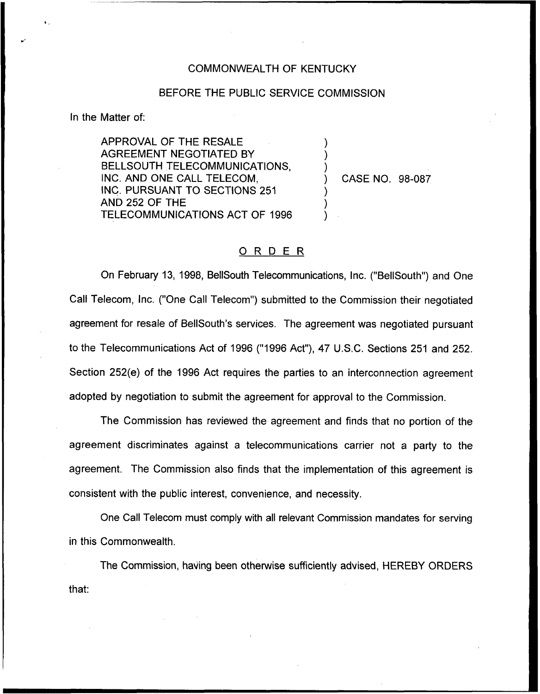## COMMONWEALTH OF KENTUCKY

## BEFORE THE PUBLIC SERVICE COMMISSION

) ) )

) ) )

In the Matter of:

APPROVAL OF THE RESALE AGREEMENT NEGOTIATED BY BELLSOUTH TELECOMMUNICATIONS, INC. AND ONE CALL TELECOM, INC. PURSUANT TO SECTIONS 251 AND 252 OF THE TELECOMMUNICATIONS ACT OF 1996

) CASE NO. 98-087

## ORDER

On February 13, 1998, BellSouth Telecommunications, Inc. ("BeIISouth") and One Call Telecom, Inc. ("One Call Telecom") submitted to the Commission their negotiated agreement for resale of BellSouth's services. The agreement was negotiated pursuant to the Telecommunications Act of 1996 ("1996 Act"), 47 U.S.C. Sections 251 and 252. Section 252(e) of the 1996 Act requires the parties to an interconnection agreement adopted by negotiation to submit the agreement for approval to the Commission.

The Commission has reviewed the agreement and finds that no portion of the agreement discriminates against a telecommunications carrier not a party to the agreement. The Commission also finds that the implementation of this agreement is consistent with the public interest, convenience, and necessity.

One Call Telecom must comply with all relevant Commission mandates for serving in this Commonwealth.

The Commission, having been otherwise sufficiently advised, HEREBY ORDERSthat: